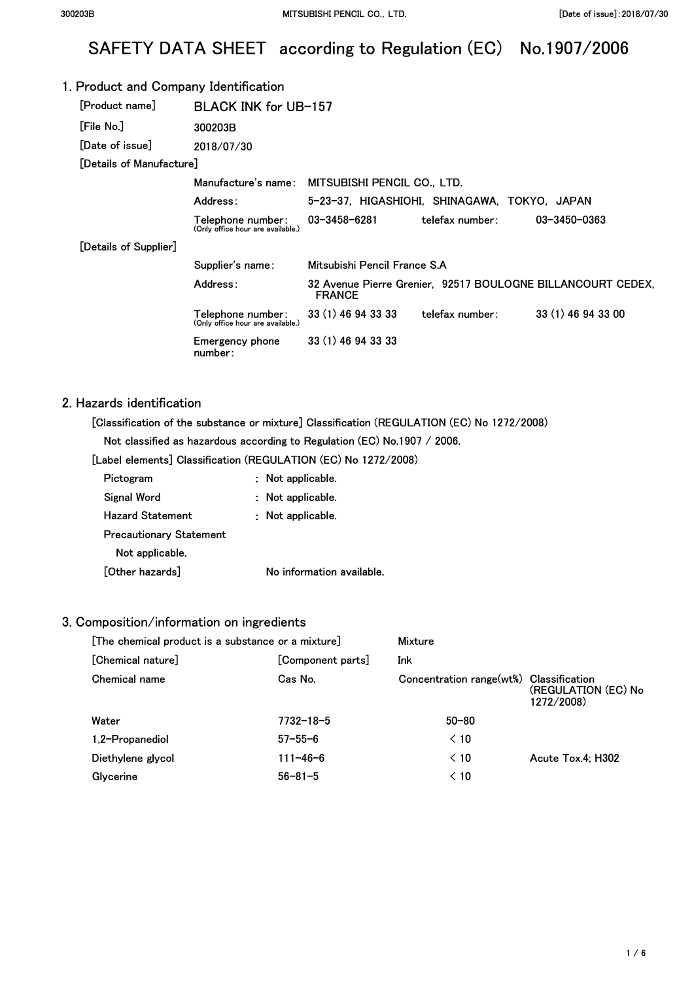# SAFETY DATA SHEET according to Regulation (EC) No.1907/2006

#### 1. Product and Company Identification **[Product name] [File No.] [Date of issue]**  BLACK INK for UB-157 **300203B 2018/07/30 [Details of Manufacture] Manufacture's name: MITSUBISHI PENCIL CO., LTD. Address: 5-23-37, HIGASHIOHI, SHINAGAWA, TOKYO, JAPAN [Details of Supplier] Telephone number: 03-3458-6281 (Only office hour are available.) telefax number: Supplier's name: Mitsubishi Pencil France S.A 03-3450-0363 Address: 32 Avenue Pierre Grenier, 92517 BOULOGNE BILLANCOURT CEDEX, FRANCE Telephone number: 33 (1) 46 94 33 33 telefax number: 33 (1) 46 94 33 00 (Only office hour are available.) Emergency phone 33 (1) 46 94 33 33 number:**

#### 2. Hazards identification

**[Classification of the substance or mixture] Classification (REGULATION (EC) No 1272/2008)** 

**Not classified as hazardous according to Regulation (EC) No.1907 / 2006.** 

**[Label elements] Classification (REGULATION (EC) No 1272/2008)** 

| Pictogram                      | Not applicable.           |
|--------------------------------|---------------------------|
| Signal Word                    | : Not applicable.         |
| <b>Hazard Statement</b>        | : Not applicable.         |
| <b>Precautionary Statement</b> |                           |
| Not applicable.                |                           |
| [Other hazards]                | No information available. |

#### 3. Composition/information on ingredients

| [The chemical product is a substance or a mixture] |                   | Mixture                                 |                                   |
|----------------------------------------------------|-------------------|-----------------------------------------|-----------------------------------|
| [Chemical nature]                                  | [Component parts] | Ink                                     |                                   |
| Chemical name                                      | Cas No.           | Concentration range(wt%) Classification | (REGULATION (EC) No<br>1272/2008) |
| Water                                              | $7732 - 18 - 5$   | $50 - 80$                               |                                   |
| 1,2-Propanediol                                    | $57 - 55 - 6$     | $\leq 10$                               |                                   |
| Diethylene glycol                                  | $111 - 46 - 6$    | $\leq 10$                               | Acute Tox 4: H302                 |
| Glycerine                                          | $56 - 81 - 5$     | $\leq 10$                               |                                   |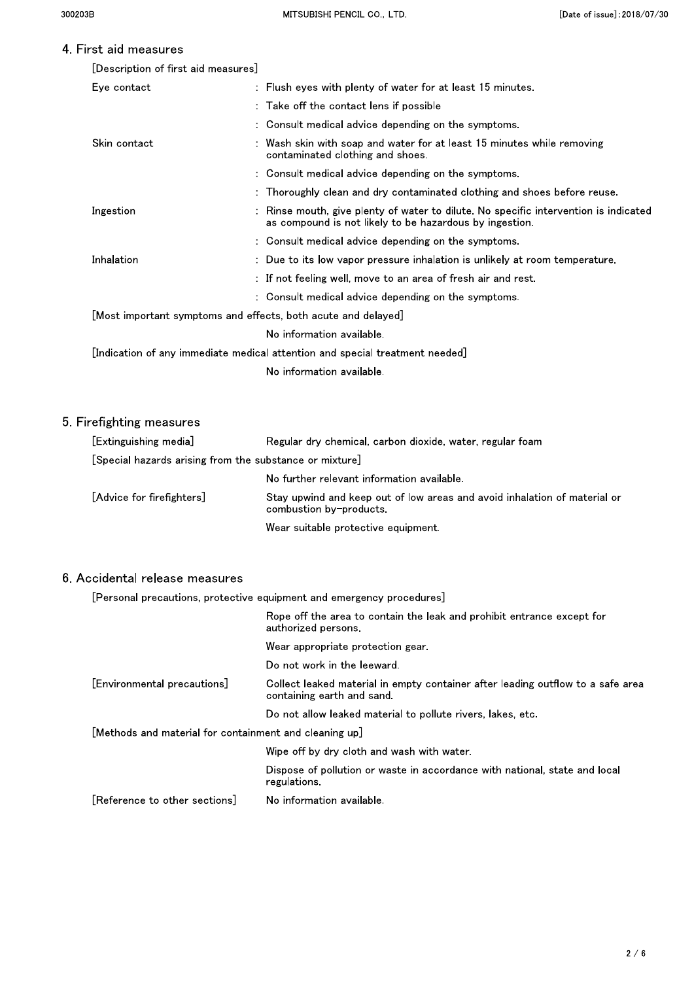and shoes before reuse.

### 4 First aid measures

| TII SL AIU TIIGASUI GS              |                                                                                                                                       |
|-------------------------------------|---------------------------------------------------------------------------------------------------------------------------------------|
| [Description of first aid measures] |                                                                                                                                       |
| Eye contact                         | $\therefore$ Flush eyes with plenty of water for at least 15 minutes.                                                                 |
|                                     | : Take off the contact lens if possible                                                                                               |
|                                     | : Consult medical advice depending on the symptoms.                                                                                   |
| Skin contact                        | : Wash skin with soap and water for at least 15 minutes while removing<br>contaminated clothing and shoes.                            |
|                                     | : Consult medical advice depending on the symptoms.                                                                                   |
|                                     | : Thoroughly clean and dry contaminated clothing and shoes before reu                                                                 |
| Ingestion                           | : Rinse mouth, give plenty of water to dilute. No specific intervention is<br>as compound is not likely to be hazardous by ingestion. |

| Ingestion         | : Rinse mouth, give plenty of water to dilute. No specific intervention is indicated<br>as compound is not likely to be hazardous by ingestion. |
|-------------------|-------------------------------------------------------------------------------------------------------------------------------------------------|
|                   | : Consult medical advice depending on the symptoms.                                                                                             |
| <b>Inhalation</b> | : Due to its low vapor pressure inhalation is unlikely at room temperature.                                                                     |
|                   | $:$ If not feeling well, move to an area of fresh air and rest $\:$                                                                             |
|                   | : Consult medical advice depending on the symptoms.                                                                                             |
|                   | [Most important symptoms and effects, both acute and delayed]                                                                                   |
|                   | No information available.                                                                                                                       |
|                   | [Indication of any immediate medical attention and special treatment needed]                                                                    |

No information available.

### 5. Firefighting measures

| [Extinguishing media]                                   | Regular dry chemical, carbon dioxide, water, regular foam                                            |
|---------------------------------------------------------|------------------------------------------------------------------------------------------------------|
| [Special hazards arising from the substance or mixture] |                                                                                                      |
|                                                         | No further relevant information available.                                                           |
| [Advice for firefighters]                               | Stay upwind and keep out of low areas and avoid inhalation of material or<br>combustion by-products. |
|                                                         | Wear suitable protective equipment.                                                                  |

#### 6. Accidental release measures

[Personal precautions, protective equipment and emergency procedures]

|                                                        | Rope off the area to contain the leak and prohibit entrance except for<br>authorized persons                 |
|--------------------------------------------------------|--------------------------------------------------------------------------------------------------------------|
|                                                        | Wear appropriate protection gear                                                                             |
|                                                        | Do not work in the leeward.                                                                                  |
| [Environmental precautions]                            | Collect leaked material in empty container after leading outflow to a safe area<br>containing earth and sand |
|                                                        | Do not allow leaked material to pollute rivers, lakes, etc.                                                  |
| [Methods and material for containment and cleaning up] |                                                                                                              |
|                                                        | Wipe off by dry cloth and wash with water.                                                                   |
|                                                        | Dispose of pollution or waste in accordance with national, state and local<br>regulations.                   |
| [Reference to other sections]                          | No information available.                                                                                    |
|                                                        |                                                                                                              |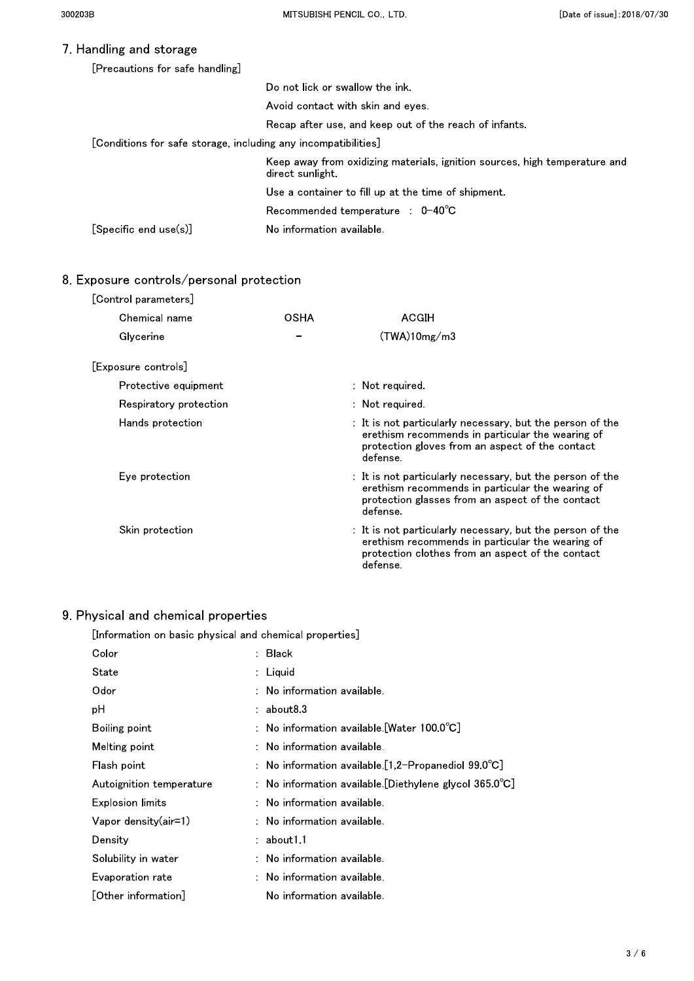### 7. Handling and storage

| [Precautions for safe handling]                                |                                                                                                |  |
|----------------------------------------------------------------|------------------------------------------------------------------------------------------------|--|
|                                                                | Do not lick or swallow the ink.                                                                |  |
|                                                                | Avoid contact with skin and eves                                                               |  |
|                                                                | Recap after use, and keep out of the reach of infants.                                         |  |
| [Conditions for safe storage, including any incompatibilities] |                                                                                                |  |
|                                                                | Keep away from oxidizing materials, ignition sources, high temperature and<br>direct sunlight. |  |
|                                                                | Use a container to fill up at the time of shipment.                                            |  |
|                                                                | Recommended temperature : $0-40^{\circ}$ C                                                     |  |
| $[Specific$ end $use(s)]$                                      | No information available.                                                                      |  |

## 8. Exposure controls/personal protection

| [Control parameters]   |             |                                                                                                                                                                               |
|------------------------|-------------|-------------------------------------------------------------------------------------------------------------------------------------------------------------------------------|
| Chemical name          | <b>OSHA</b> | <b>ACGIH</b>                                                                                                                                                                  |
| Glycerine              |             | (TWA)10mg/m3                                                                                                                                                                  |
| [Exposure controls]    |             |                                                                                                                                                                               |
| Protective equipment   |             | : Not required.                                                                                                                                                               |
| Respiratory protection |             | $:$ Not required.                                                                                                                                                             |
| Hands protection       |             | : It is not particularly necessary, but the person of the<br>erethism recommends in particular the wearing of<br>protection gloves from an aspect of the contact<br>defense.  |
| Eye protection         |             | : It is not particularly necessary, but the person of the<br>erethism recommends in particular the wearing of<br>protection glasses from an aspect of the contact<br>defense. |
| Skin protection        |             | : It is not particularly necessary, but the person of the<br>erethism recommends in particular the wearing of<br>protection clothes from an aspect of the contact<br>defense. |

### 9 Ph

| iysical and chemical properties                         |                                                                   |
|---------------------------------------------------------|-------------------------------------------------------------------|
| [Information on basic physical and chemical properties] |                                                                   |
| Color                                                   | <b>Black</b>                                                      |
| State                                                   | Liquid                                                            |
| Odor                                                    | No information available.                                         |
| рH                                                      | $:$ about $83$                                                    |
| Boiling point                                           | : No information available.[Water $100.0^{\circ}$ C]              |
| Melting point                                           | No information available.                                         |
| Flash point                                             | : No information available.[1,2-Propanediol $99.0^{\circ}$ C]     |
| Autoignition temperature                                | : No information available. [Diethylene glycol $365.0^{\circ}$ C] |
| <b>Explosion limits</b>                                 | No information available.                                         |
| Vapor density(air=1)                                    | No information available.                                         |
| Density                                                 | about11                                                           |
| Solubility in water                                     | No information available.                                         |
| Evaporation rate                                        | $:$ No information available.                                     |
| [Other information]                                     | No information available.                                         |
|                                                         |                                                                   |
|                                                         |                                                                   |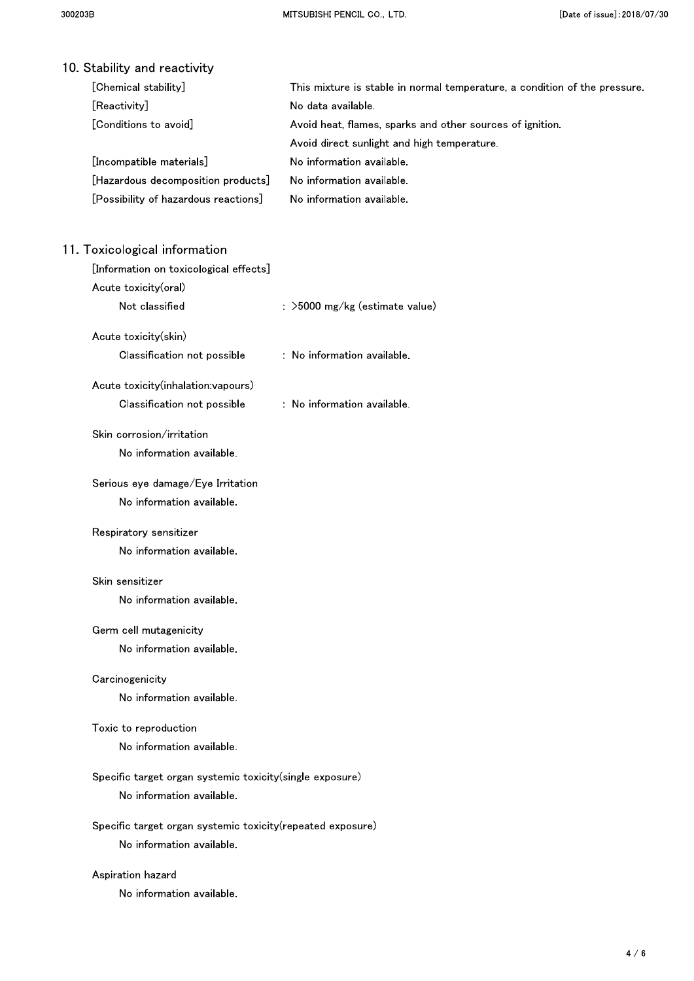| 10 Stability and reactivity                                                |                                                                            |
|----------------------------------------------------------------------------|----------------------------------------------------------------------------|
| [Chemical stability]                                                       | This mixture is stable in normal temperature, a condition of the pressure. |
| [Reactivity]                                                               | No data available.                                                         |
| [Conditions to avoid]                                                      | Avoid heat, flames, sparks and other sources of ignition.                  |
|                                                                            | Avoid direct sunlight and high temperature.                                |
| [Incompatible materials]                                                   | No information available.                                                  |
| [Hazardous decomposition products]<br>[Possibility of hazardous reactions] | No information available.<br>No information available.                     |
|                                                                            |                                                                            |
| 11. Toxicological information                                              |                                                                            |
| [Information on toxicological effects]                                     |                                                                            |
| Acute toxicity(oral)                                                       |                                                                            |
| Not classified                                                             | : >5000 mg/kg (estimate value)                                             |
| Acute toxicity(skin)                                                       |                                                                            |
| Classification not possible                                                | : No information available.                                                |
| Acute toxicity(inhalation:vapours)                                         |                                                                            |
| Classification not possible                                                | : No information available.                                                |
| Skin corrosion/irritation                                                  |                                                                            |
| No information available.                                                  |                                                                            |
| Serious eye damage/Eye Irritation                                          |                                                                            |
| No information available.                                                  |                                                                            |
| Respiratory sensitizer                                                     |                                                                            |
| No information available.                                                  |                                                                            |
| Skin sensitizer                                                            |                                                                            |
| No information available.                                                  |                                                                            |
| Germ cell mutagenicity                                                     |                                                                            |
| No information available.                                                  |                                                                            |
| Carcinogenicity                                                            |                                                                            |
| No information available.                                                  |                                                                            |
| Toxic to reproduction                                                      |                                                                            |
| No information available.                                                  |                                                                            |
| Specific target organ systemic toxicity(single exposure)                   |                                                                            |
| No information available.                                                  |                                                                            |
| Specific target organ systemic toxicity (repeated exposure)                |                                                                            |
| No information available.                                                  |                                                                            |
| Aspiration hazard                                                          |                                                                            |
| No information available.                                                  |                                                                            |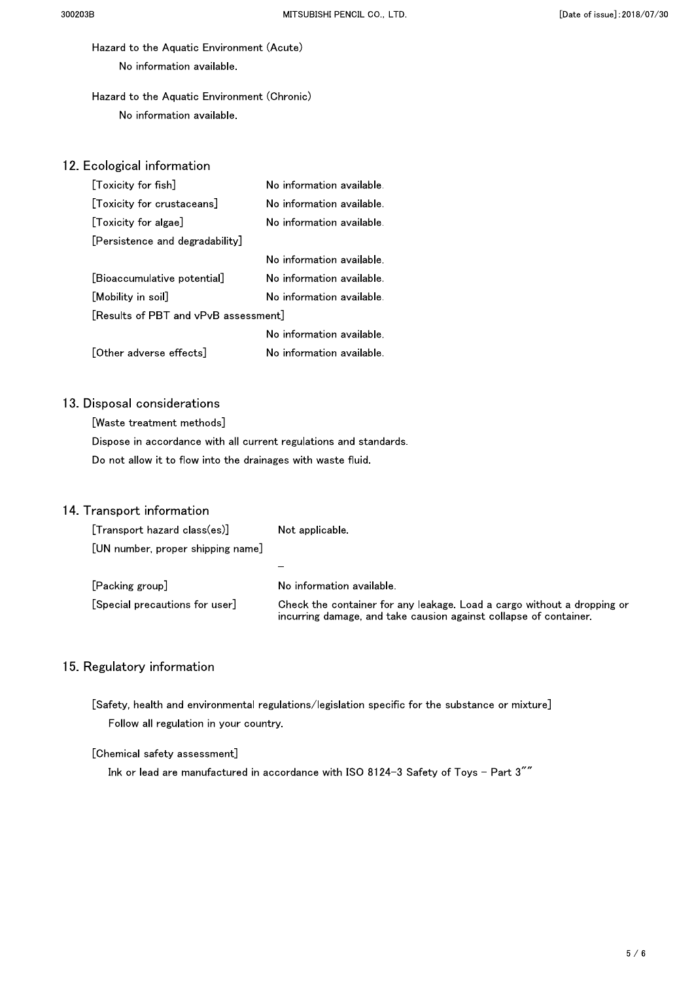Hazard to the Aquatic Environment (Acute) No information available.

### Hazard to the Aquatic Environment (Chronic) No information available.

### 12. Ecological information

| [Toxicity for fish]                  | No information available. |
|--------------------------------------|---------------------------|
| [Toxicity for crustaceans]           | No information available. |
| [Toxicity for algae]                 | No information available. |
| [Persistence and degradability]      |                           |
|                                      | No information available. |
| [Bioaccumulative potential]          | No information available. |
| [Mobility in soil]                   | No information available. |
| [Results of PBT and vPvB assessment] |                           |
|                                      | No information available  |
| [Other adverse effects]              | No information available. |

### 13. Disposal considerations

[Waste treatment methods] Dispose in accordance with all current regulations and standards. Do not allow it to flow into the drainages with waste fluid.

#### 14. Transport information

| [Transport hazard class(es)]      | Not applicable                                                                                                                               |
|-----------------------------------|----------------------------------------------------------------------------------------------------------------------------------------------|
| [UN number, proper shipping name] |                                                                                                                                              |
|                                   |                                                                                                                                              |
| [Packing group]                   | No information available.                                                                                                                    |
| [Special precautions for user]    | Check the container for any leakage. Load a cargo without a dropping or<br>incurring damage, and take causion against collapse of container. |

#### 15. Regulatory information

[Safety, health and environmental regulations/legislation specific for the substance or mixture] Follow all regulation in your country.

#### [Chemical safety assessment]

Ink or lead are manufactured in accordance with ISO 8124-3 Safety of Toys - Part 3""